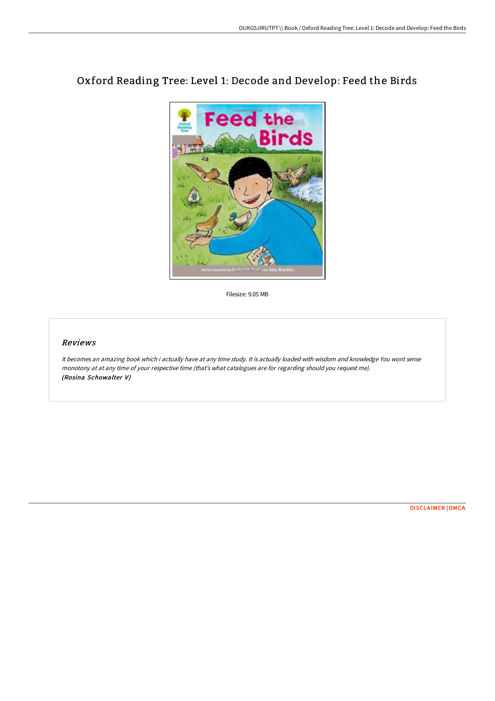

# Oxford Reading Tree: Level 1: Decode and Develop: Feed the Birds

Filesize: 9.05 MB

### Reviews

It becomes an amazing book which i actually have at any time study. It is actually loaded with wisdom and knowledge You wont sense monotony at at any time of your respective time (that's what catalogues are for regarding should you request me). (Rosina Schowalter V)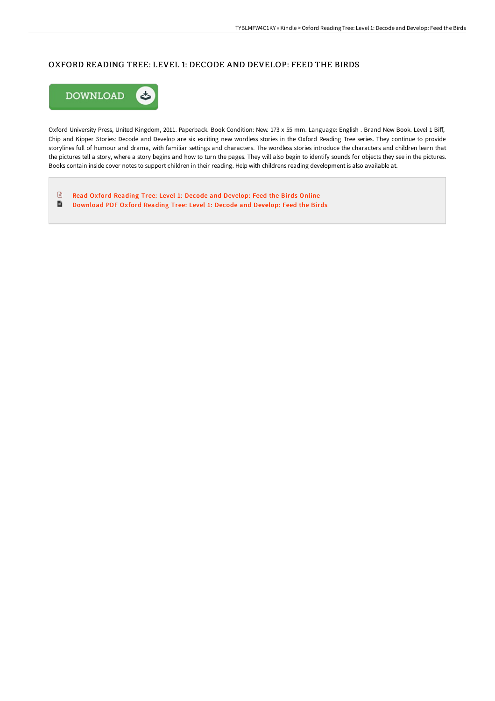#### OXFORD READING TREE: LEVEL 1: DECODE AND DEVELOP: FEED THE BIRDS



Oxford University Press, United Kingdom, 2011. Paperback. Book Condition: New. 173 x 55 mm. Language: English . Brand New Book. Level 1 Biff, Chip and Kipper Stories: Decode and Develop are six exciting new wordless stories in the Oxford Reading Tree series. They continue to provide storylines full of humour and drama, with familiar settings and characters. The wordless stories introduce the characters and children learn that the pictures tell a story, where a story begins and how to turn the pages. They will also begin to identify sounds for objects they see in the pictures. Books contain inside cover notes to support children in their reading. Help with childrens reading development is also available at.

 $\mathbf{F}$ Read Oxford Reading Tree: Level 1: Decode and [Develop:](http://digilib.live/oxford-reading-tree-level-1-decode-and-develop-f-1.html) Feed the Birds Online  $\blacksquare$ [Download](http://digilib.live/oxford-reading-tree-level-1-decode-and-develop-f-1.html) PDF Oxford Reading Tree: Level 1: Decode and Develop: Feed the Birds